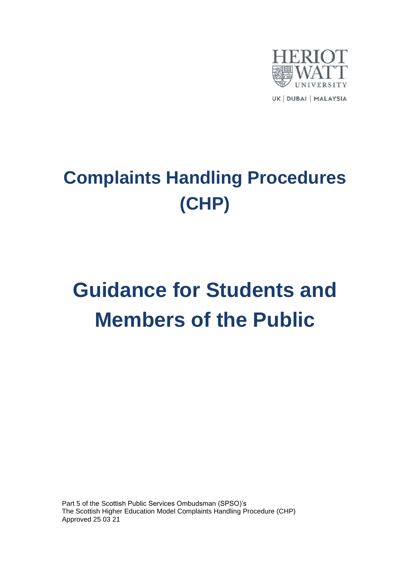

## **Complaints Handling Procedures (CHP)**

# **Guidance for Students and Members of the Public**

Part 5 of the Scottish Public Services Ombudsman (SPSO)'s The Scottish Higher Education Model Complaints Handling Procedure (CHP) Approved 25 03 21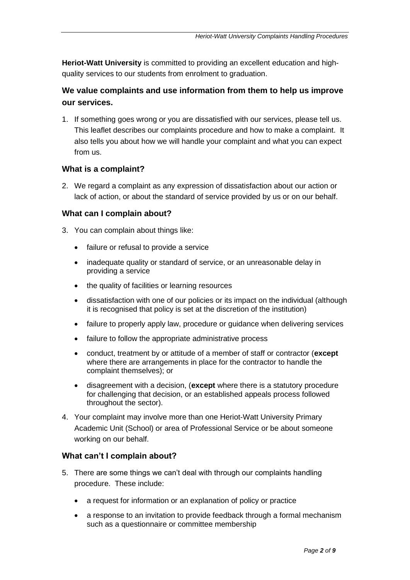**Heriot-Watt University** is committed to providing an excellent education and highquality services to our students from enrolment to graduation.

## **We value complaints and use information from them to help us improve our services.**

1. If something goes wrong or you are dissatisfied with our services, please tell us. This leaflet describes our complaints procedure and how to make a complaint. It also tells you about how we will handle your complaint and what you can expect from us.

## **What is a complaint?**

2. We regard a complaint as any expression of dissatisfaction about our action or lack of action, or about the standard of service provided by us or on our behalf.

## **What can I complain about?**

- 3. You can complain about things like:
	- failure or refusal to provide a service
	- inadequate quality or standard of service, or an unreasonable delay in providing a service
	- the quality of facilities or learning resources
	- dissatisfaction with one of our policies or its impact on the individual (although it is recognised that policy is set at the discretion of the institution)
	- failure to properly apply law, procedure or guidance when delivering services
	- failure to follow the appropriate administrative process
	- conduct, treatment by or attitude of a member of staff or contractor (**except** where there are arrangements in place for the contractor to handle the complaint themselves); or
	- disagreement with a decision, (**except** where there is a statutory procedure for challenging that decision, or an established appeals process followed throughout the sector).
- 4. Your complaint may involve more than one Heriot-Watt University Primary Academic Unit (School) or area of Professional Service or be about someone working on our behalf.

## **What can't I complain about?**

- 5. There are some things we can't deal with through our complaints handling procedure. These include:
	- a request for information or an explanation of policy or practice
	- a response to an invitation to provide feedback through a formal mechanism such as a questionnaire or committee membership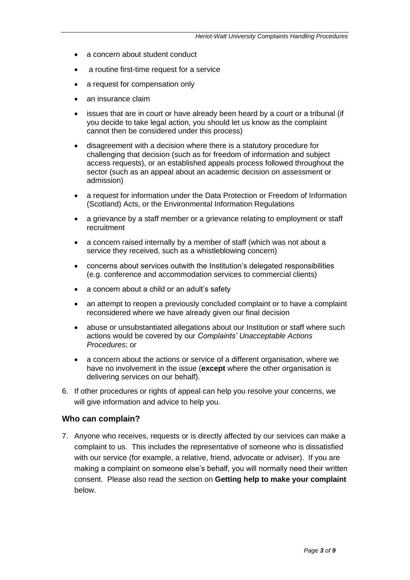- a concern about student conduct
- a routine first-time request for a service
- a request for compensation only
- an insurance claim
- issues that are in court or have already been heard by a court or a tribunal (if you decide to take legal action, you should let us know as the complaint cannot then be considered under this process)
- disagreement with a decision where there is a statutory procedure for challenging that decision (such as for freedom of information and subject access requests), or an established appeals process followed throughout the sector (such as an appeal about an academic decision on assessment or admission)
- a request for information under the Data Protection or Freedom of Information (Scotland) Acts, or the Environmental Information Regulations
- a grievance by a staff member or a grievance relating to employment or staff recruitment
- a concern raised internally by a member of staff (which was not about a service they received, such as a whistleblowing concern)
- concerns about services outwith the Institution's delegated responsibilities (e.g. conference and accommodation services to commercial clients)
- a concern about a child or an adult's safety
- an attempt to reopen a previously concluded complaint or to have a complaint reconsidered where we have already given our final decision
- abuse or unsubstantiated allegations about our Institution or staff where such actions would be covered by our *Complaints' Unacceptable Actions Procedures*; or
- a concern about the actions or service of a different organisation, where we have no involvement in the issue (**except** where the other organisation is delivering services on our behalf).
- 6. If other procedures or rights of appeal can help you resolve your concerns, we will give information and advice to help you.

#### **Who can complain?**

7. Anyone who receives, requests or is directly affected by our services can make a complaint to us. This includes the representative of someone who is dissatisfied with our service (for example, a relative, friend, advocate or adviser). If you are making a complaint on someone else's behalf, you will normally need their written consent. Please also read the section on **Getting help to make your complaint** below.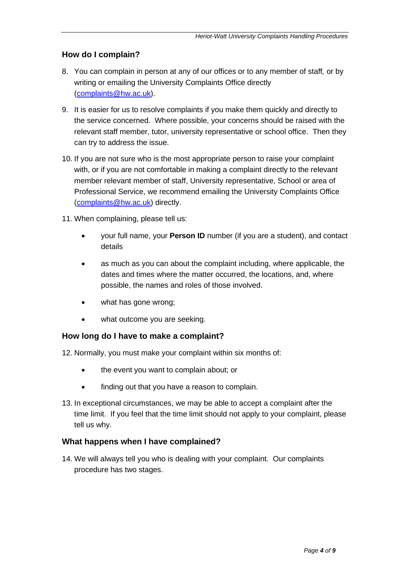## **How do I complain?**

- 8. You can complain in person at any of our offices or to any member of staff*,* or by writing or emailing the University Complaints Office directly [\(complaints@hw.ac.uk\)](mailto:complaints@hw.ac.uk).
- 9. It is easier for us to resolve complaints if you make them quickly and directly to the service concerned. Where possible, your concerns should be raised with the relevant staff member, tutor, university representative or school office. Then they can try to address the issue.
- 10. If you are not sure who is the most appropriate person to raise your complaint with, or if you are not comfortable in making a complaint directly to the relevant member relevant member of staff, University representative, School or area of Professional Service, we recommend emailing the University Complaints Office [\(complaints@hw.ac.uk\)](mailto:complaints@hw.ac.uk) directly.
- 11. When complaining, please tell us:
	- your full name, your **Person ID** number (if you are a student), and contact details
	- as much as you can about the complaint including, where applicable, the dates and times where the matter occurred, the locations, and, where possible, the names and roles of those involved.
	- what has gone wrong;
	- what outcome you are seeking.

## **How long do I have to make a complaint?**

12. Normally, you must make your complaint within six months of:

- the event you want to complain about; or
- finding out that you have a reason to complain.
- 13. In exceptional circumstances, we may be able to accept a complaint after the time limit. If you feel that the time limit should not apply to your complaint, please tell us why.

## **What happens when I have complained?**

14. We will always tell you who is dealing with your complaint. Our complaints procedure has two stages.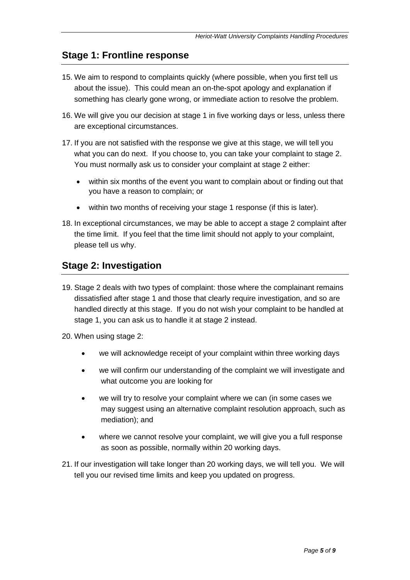## **Stage 1: Frontline response**

- 15. We aim to respond to complaints quickly (where possible, when you first tell us about the issue). This could mean an on-the-spot apology and explanation if something has clearly gone wrong, or immediate action to resolve the problem.
- 16. We will give you our decision at stage 1 in five working days or less, unless there are exceptional circumstances.
- 17. If you are not satisfied with the response we give at this stage, we will tell you what you can do next. If you choose to, you can take your complaint to stage 2. You must normally ask us to consider your complaint at stage 2 either:
	- within six months of the event you want to complain about or finding out that you have a reason to complain; or
	- within two months of receiving your stage 1 response (if this is later).
- 18. In exceptional circumstances, we may be able to accept a stage 2 complaint after the time limit. If you feel that the time limit should not apply to your complaint, please tell us why.

## **Stage 2: Investigation**

- 19. Stage 2 deals with two types of complaint: those where the complainant remains dissatisfied after stage 1 and those that clearly require investigation, and so are handled directly at this stage. If you do not wish your complaint to be handled at stage 1, you can ask us to handle it at stage 2 instead.
- 20. When using stage 2:
	- we will acknowledge receipt of your complaint within three working days
	- we will confirm our understanding of the complaint we will investigate and what outcome you are looking for
	- we will try to resolve your complaint where we can (in some cases we may suggest using an alternative complaint resolution approach, such as mediation); and
	- where we cannot resolve your complaint, we will give you a full response as soon as possible, normally within 20 working days.
- 21. If our investigation will take longer than 20 working days, we will tell you. We will tell you our revised time limits and keep you updated on progress.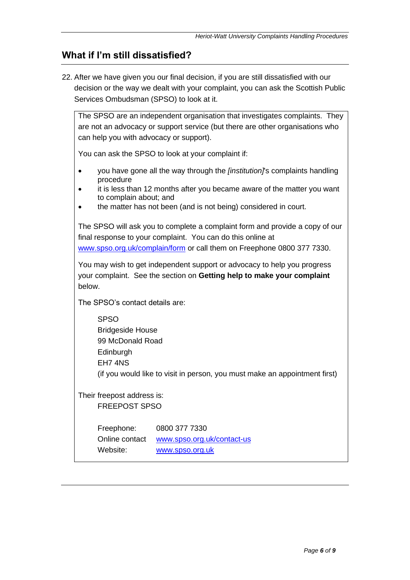## **What if I'm still dissatisfied?**

22. After we have given you our final decision, if you are still dissatisfied with our decision or the way we dealt with your complaint, you can ask the Scottish Public Services Ombudsman (SPSO) to look at it.

The SPSO are an independent organisation that investigates complaints. They are not an advocacy or support service (but there are other organisations who can help you with advocacy or support).

You can ask the SPSO to look at your complaint if:

- you have gone all the way through the *[institution]*'s complaints handling procedure
- it is less than 12 months after you became aware of the matter you want to complain about; and
- the matter has not been (and is not being) considered in court.

The SPSO will ask you to complete a complaint form and provide a copy of our final response to your complaint. You can do this online at [www.spso.org.uk/complain/form](http://www.spso.org.uk/complain/form) or call them on Freephone 0800 377 7330.

You may wish to get independent support or advocacy to help you progress your complaint. See the section on **Getting help to make your complaint** below.

The SPSO's contact details are:

SPSO Bridgeside House 99 McDonald Road Edinburgh EH7 4NS (if you would like to visit in person, you must make an appointment first)

Their freepost address is: FREEPOST SPSO

> Freephone: 0800 377 7330 Online contact [www.spso.org.uk/contact-us](http://www.spso.org.uk/contact-us) Website: [www.spso.org.uk](http://www.spso.org.uk/)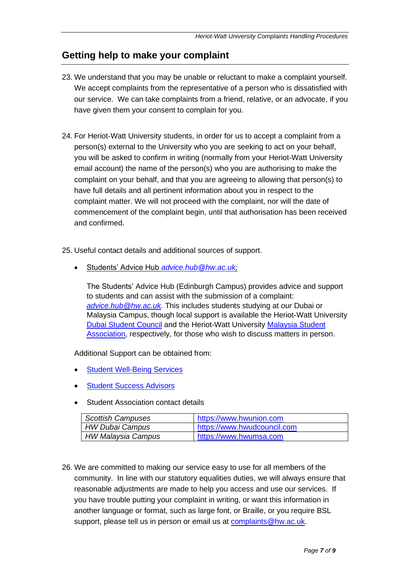## **Getting help to make your complaint**

- 23. We understand that you may be unable or reluctant to make a complaint yourself. We accept complaints from the representative of a person who is dissatisfied with our service. We can take complaints from a friend, relative, or an advocate, if you have given them your consent to complain for you.
- 24. For Heriot-Watt University students, in order for us to accept a complaint from a person(s) external to the University who you are seeking to act on your behalf, you will be asked to confirm in writing (normally from your Heriot-Watt University email account) the name of the person(s) who you are authorising to make the complaint on your behalf, and that you are agreeing to allowing that person(s) to have full details and all pertinent information about you in respect to the complaint matter. We will not proceed with the complaint, nor will the date of commencement of the complaint begin, until that authorisation has been received and confirmed.
- 25. Useful contact details and additional sources of support.
	- Students' Advice Hub *[advice.hub@hw.ac.uk;](mailto:advice.hub@hw.ac.uk)*

The Students' Advice Hub (Edinburgh Campus) provides advice and support to students and can assist with the submission of a complaint: *[advice.hub@hw.ac.uk.](mailto:advice.hub@hw.ac.uk)* This includes students studying at *our* Dubai or Malaysia Campus, though local support is available the Heriot-Watt University [Dubai Student Council](https://www.hwudcouncil.com/) and the Heriot-Watt University [Malaysia](https://www.hwumsa.com/) Student [Association,](https://www.hwumsa.com/) respectively, for those who wish to discuss matters in person.

Additional Support can be obtained from:

- **[Student Well-Being Services](https://www.hw.ac.uk/uk/students/health-wellbeing.htm)**
- **[Student Success Advisors](https://www.hw.ac.uk/uk/students/health-wellbeing/edinburgh/student-success-advice.htm)**
- **Student Association contact details**

| <b>Scottish Campuses</b> | https://www.hwunion.com     |
|--------------------------|-----------------------------|
| <b>HW Dubai Campus</b>   | https://www.hwudcouncil.com |
| HW Malaysia Campus       | https://www.hwumsa.com      |

26. We are committed to making our service easy to use for all members of the community. In line with our statutory equalities duties, we will always ensure that reasonable adjustments are made to help you access and use our services. If you have trouble putting your complaint in writing, or want this information in another language or format, such as large font, or Braille, or you require BSL support, please tell us in person or email us at [complaints@hw.ac.uk.](mailto:complaints@hw.ac.uk)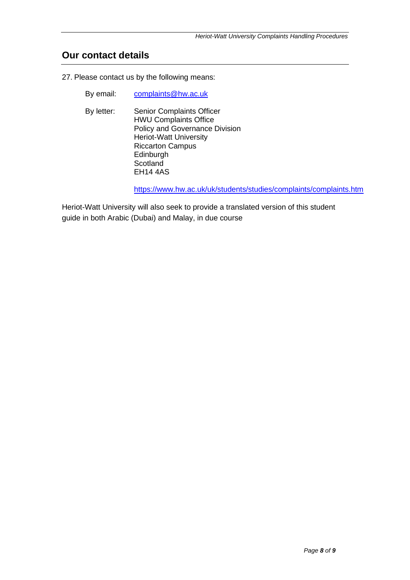## **Our contact details**

27. Please contact us by the following means:

- By email: [complaints@hw.ac.uk](mailto:complaints@hw.ac.uk)
- By letter: Senior Complaints Officer HWU Complaints Office Policy and Governance Division Heriot-Watt University Riccarton Campus Edinburgh **Scotland** EH14 4AS

<https://www.hw.ac.uk/uk/students/studies/complaints/complaints.htm>

Heriot-Watt University will also seek to provide a translated version of this student guide in both Arabic (Dubai) and Malay, in due course